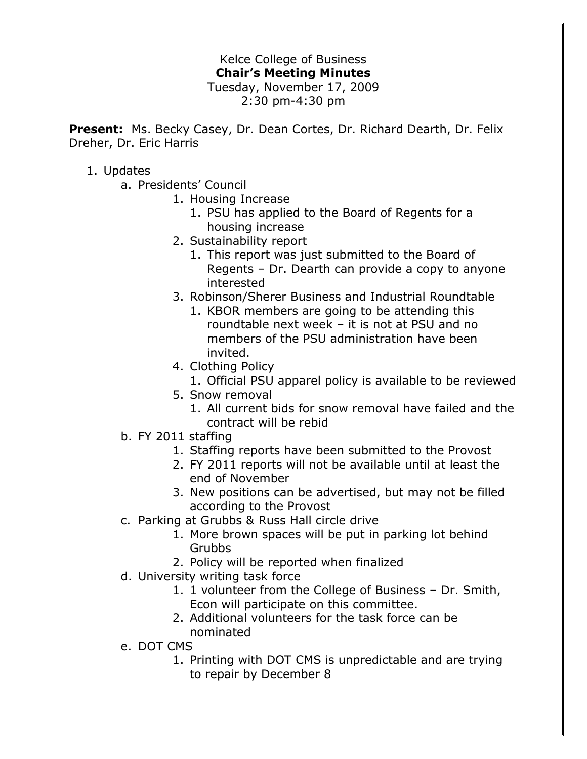## Kelce College of Business **Chair's Meeting Minutes** Tuesday, November 17, 2009 2:30 pm-4:30 pm

**Present:** Ms. Becky Casey, Dr. Dean Cortes, Dr. Richard Dearth, Dr. Felix Dreher, Dr. Eric Harris

## 1. Updates

- a. Presidents' Council
	- 1. Housing Increase
		- 1. PSU has applied to the Board of Regents for a housing increase
	- 2. Sustainability report
		- 1. This report was just submitted to the Board of Regents – Dr. Dearth can provide a copy to anyone interested
	- 3. Robinson/Sherer Business and Industrial Roundtable
		- 1. KBOR members are going to be attending this roundtable next week – it is not at PSU and no members of the PSU administration have been invited.
	- 4. Clothing Policy
		- 1. Official PSU apparel policy is available to be reviewed
	- 5. Snow removal
		- 1. All current bids for snow removal have failed and the contract will be rebid
- b. FY 2011 staffing
	- 1. Staffing reports have been submitted to the Provost
	- 2. FY 2011 reports will not be available until at least the end of November
	- 3. New positions can be advertised, but may not be filled according to the Provost
- c. Parking at Grubbs & Russ Hall circle drive
	- 1. More brown spaces will be put in parking lot behind Grubbs
	- 2. Policy will be reported when finalized
- d. University writing task force
	- 1. 1 volunteer from the College of Business Dr. Smith, Econ will participate on this committee.
	- 2. Additional volunteers for the task force can be nominated
- e. DOT CMS
	- 1. Printing with DOT CMS is unpredictable and are trying to repair by December 8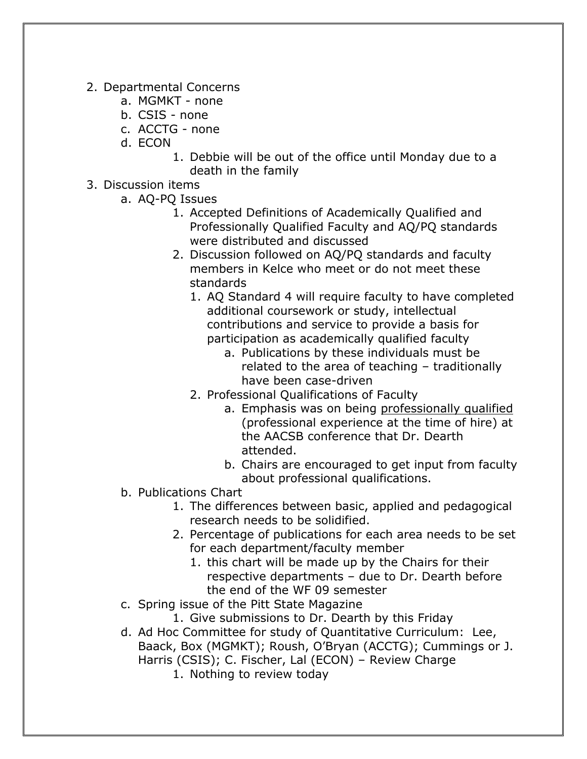- 2. Departmental Concerns
	- a. MGMKT none
	- b. CSIS none
	- c. ACCTG none
	- d. ECON
		- 1. Debbie will be out of the office until Monday due to a death in the family
- 3. Discussion items
	- a. AQ-PQ Issues
		- 1. Accepted Definitions of Academically Qualified and Professionally Qualified Faculty and AQ/PQ standards were distributed and discussed
		- 2. Discussion followed on AQ/PQ standards and faculty members in Kelce who meet or do not meet these standards
			- 1. AQ Standard 4 will require faculty to have completed additional coursework or study, intellectual contributions and service to provide a basis for participation as academically qualified faculty
				- a. Publications by these individuals must be related to the area of teaching – traditionally have been case-driven
			- 2. Professional Qualifications of Faculty
				- a. Emphasis was on being professionally qualified (professional experience at the time of hire) at the AACSB conference that Dr. Dearth attended.
				- b. Chairs are encouraged to get input from faculty about professional qualifications.
	- b. Publications Chart
		- 1. The differences between basic, applied and pedagogical research needs to be solidified.
		- 2. Percentage of publications for each area needs to be set for each department/faculty member
			- 1. this chart will be made up by the Chairs for their respective departments – due to Dr. Dearth before the end of the WF 09 semester
	- c. Spring issue of the Pitt State Magazine
		- 1. Give submissions to Dr. Dearth by this Friday
	- d. Ad Hoc Committee for study of Quantitative Curriculum: Lee, Baack, Box (MGMKT); Roush, O'Bryan (ACCTG); Cummings or J. Harris (CSIS); C. Fischer, Lal (ECON) – Review Charge
		- 1. Nothing to review today